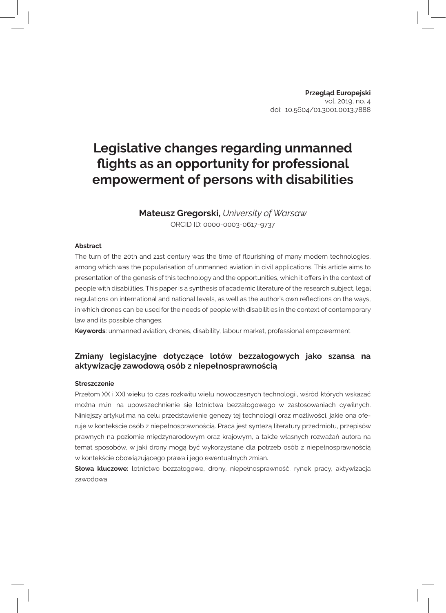# **Legislative changes regarding unmanned flights as an opportunity for professional empowerment of persons with disabilities**

## **Mateusz Gregorski,** *University of Warsaw*

ORCID ID: 0000-0003-0617-9737

#### **Abstract**

The turn of the 20th and 21st century was the time of flourishing of many modern technologies, among which was the popularisation of unmanned aviation in civil applications. This article aims to presentation of the genesis of this technology and the opportunities, which it offers in the context of people with disabilities. This paper is a synthesis of academic literature of the research subject, legal regulations on international and national levels, as well as the author's own reflections on the ways, in which drones can be used for the needs of people with disabilities in the context of contemporary law and its possible changes.

**Keywords**: unmanned aviation, drones, disability, labour market, professional empowerment

### **Zmiany legislacyjne dotyczące lotów bezzałogowych jako szansa na aktywizację zawodową osób z niepełnosprawnością**

#### **Streszczenie**

Przełom XX i XXI wieku to czas rozkwitu wielu nowoczesnych technologii, wśród których wskazać można m.in. na upowszechnienie się lotnictwa bezzałogowego w zastosowaniach cywilnych. Niniejszy artykuł ma na celu przedstawienie genezy tej technologii oraz możliwości, jakie ona oferuje w kontekście osób z niepełnosprawnością. Praca jest syntezą literatury przedmiotu, przepisów prawnych na poziomie międzynarodowym oraz krajowym, a także własnych rozważań autora na temat sposobów, w jaki drony mogą być wykorzystane dla potrzeb osób z niepełnosprawnością w kontekście obowiązującego prawa i jego ewentualnych zmian.

**Słowa kluczowe:** lotnictwo bezzałogowe, drony, niepełnosprawność, rynek pracy, aktywizacja zawodowa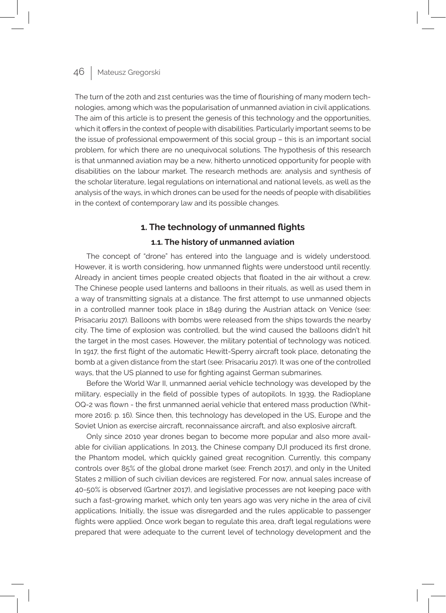The turn of the 20th and 21st centuries was the time of flourishing of many modern technologies, among which was the popularisation of unmanned aviation in civil applications. The aim of this article is to present the genesis of this technology and the opportunities, which it offers in the context of people with disabilities. Particularly important seems to be the issue of professional empowerment of this social group – this is an important social problem, for which there are no unequivocal solutions. The hypothesis of this research is that unmanned aviation may be a new, hitherto unnoticed opportunity for people with disabilities on the labour market. The research methods are: analysis and synthesis of the scholar literature, legal regulations on international and national levels, as well as the analysis of the ways, in which drones can be used for the needs of people with disabilities in the context of contemporary law and its possible changes.

### **1. The technology of unmanned flights**

### **1.1. The history of unmanned aviation**

The concept of "drone" has entered into the language and is widely understood. However, it is worth considering, how unmanned flights were understood until recently. Already in ancient times people created objects that floated in the air without a crew. The Chinese people used lanterns and balloons in their rituals, as well as used them in a way of transmitting signals at a distance. The first attempt to use unmanned objects in a controlled manner took place in 1849 during the Austrian attack on Venice (see: Prisacariu 2017). Balloons with bombs were released from the ships towards the nearby city. The time of explosion was controlled, but the wind caused the balloons didn't hit the target in the most cases. However, the military potential of technology was noticed. In 1917, the first flight of the automatic Hewitt-Sperry aircraft took place, detonating the bomb at a given distance from the start (see: Prisacariu 2017). It was one of the controlled ways, that the US planned to use for fighting against German submarines.

Before the World War II, unmanned aerial vehicle technology was developed by the military, especially in the field of possible types of autopilots. In 1939, the Radioplane OQ-2 was flown - the first unmanned aerial vehicle that entered mass production (Whitmore 2016: p. 16). Since then, this technology has developed in the US, Europe and the Soviet Union as exercise aircraft, reconnaissance aircraft, and also explosive aircraft.

Only since 2010 year drones began to become more popular and also more available for civilian applications. In 2013, the Chinese company DJI produced its first drone, the Phantom model, which quickly gained great recognition. Currently, this company controls over 85% of the global drone market (see: French 2017), and only in the United States 2 million of such civilian devices are registered. For now, annual sales increase of 40-50% is observed (Gartner 2017), and legislative processes are not keeping pace with such a fast-growing market, which only ten years ago was very niche in the area of civil applications. Initially, the issue was disregarded and the rules applicable to passenger flights were applied. Once work began to regulate this area, draft legal regulations were prepared that were adequate to the current level of technology development and the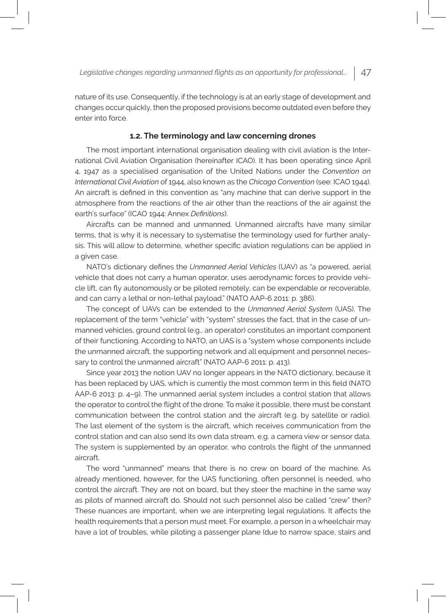nature of its use. Consequently, if the technology is at an early stage of development and changes occur quickly, then the proposed provisions become outdated even before they enter into force.

#### **1.2. The terminology and law concerning drones**

The most important international organisation dealing with civil aviation is the International Civil Aviation Organisation (hereinafter ICAO). It has been operating since April 4, 1947 as a specialised organisation of the United Nations under the *Convention on International Civil Aviation* of 1944, also known as the *Chicago Convention* (see: ICAO 1944). An aircraft is defined in this convention as "any machine that can derive support in the atmosphere from the reactions of the air other than the reactions of the air against the earth's surface" (ICAO 1944: Annex *Definitions*).

Aircrafts can be manned and unmanned. Unmanned aircrafts have many similar terms, that is why it is necessary to systematise the terminology used for further analysis. This will allow to determine, whether specific aviation regulations can be applied in a given case.

NATO's dictionary defines the *Unmanned Aerial Vehicles* (UAV) as "a powered, aerial vehicle that does not carry a human operator, uses aerodynamic forces to provide vehicle lift, can fly autonomously or be piloted remotely, can be expendable or recoverable, and can carry a lethal or non-lethal payload." (NATO AAP-6 2011: p. 386).

The concept of UAVs can be extended to the *Unmanned Aerial System* (UAS). The replacement of the term "vehicle" with "system" stresses the fact, that in the case of unmanned vehicles, ground control (e.g., an operator) constitutes an important component of their functioning. According to NATO, an UAS is a "system whose components include the unmanned aircraft, the supporting network and all equipment and personnel necessary to control the unmanned aircraft" (NATO AAP-6 2011: p. 413).

Since year 2013 the notion UAV no longer appears in the NATO dictionary, because it has been replaced by UAS, which is currently the most common term in this field (NATO AAP-6 2013: p. 4–9). The unmanned aerial system includes a control station that allows the operator to control the flight of the drone. To make it possible, there must be constant communication between the control station and the aircraft (e.g. by satellite or radio). The last element of the system is the aircraft, which receives communication from the control station and can also send its own data stream, e.g. a camera view or sensor data. The system is supplemented by an operator, who controls the flight of the unmanned aircraft.

The word "unmanned" means that there is no crew on board of the machine. As already mentioned, however, for the UAS functioning, often personnel is needed, who control the aircraft. They are not on board, but they steer the machine in the same way as pilots of manned aircraft do. Should not such personnel also be called "crew" then? These nuances are important, when we are interpreting legal regulations. It affects the health requirements that a person must meet. For example, a person in a wheelchair may have a lot of troubles, while piloting a passenger plane (due to narrow space, stairs and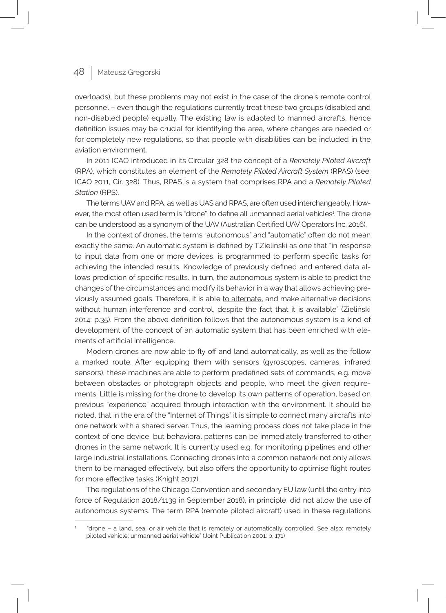overloads), but these problems may not exist in the case of the drone's remote control personnel – even though the regulations currently treat these two groups (disabled and non-disabled people) equally. The existing law is adapted to manned aircrafts, hence definition issues may be crucial for identifying the area, where changes are needed or for completely new regulations, so that people with disabilities can be included in the aviation environment.

In 2011 ICAO introduced in its Circular 328 the concept of a *Remotely Piloted Aircraft* (RPA), which constitutes an element of the *Remotely Piloted Aircraft System* (RPAS) (see: ICAO 2011, Cir. 328). Thus, RPAS is a system that comprises RPA and a *Remotely Piloted Station* (RPS).

The terms UAV and RPA, as well as UAS and RPAS, are often used interchangeably. However, the most often used term is "drone", to define all unmanned aerial vehicles<del>'</del>. The drone can be understood as a synonym of the UAV (Australian Certified UAV Operators Inc. 2016).

In the context of drones, the terms "autonomous" and "automatic" often do not mean exactly the same. An automatic system is defined by T.Zieliński as one that "in response to input data from one or more devices, is programmed to perform specific tasks for achieving the intended results. Knowledge of previously defined and entered data allows prediction of specific results. In turn, the autonomous system is able to predict the changes of the circumstances and modify its behavior in a way that allows achieving previously assumed goals. Therefore, it is able to alternate, and make alternative decisions without human interference and control, despite the fact that it is available" (Zieliński 2014: p.35). From the above definition follows that the autonomous system is a kind of development of the concept of an automatic system that has been enriched with elements of artificial intelligence.

Modern drones are now able to fly off and land automatically, as well as the follow a marked route. After equipping them with sensors (gyroscopes, cameras, infrared sensors), these machines are able to perform predefined sets of commands, e.g. move between obstacles or photograph objects and people, who meet the given requirements. Little is missing for the drone to develop its own patterns of operation, based on previous "experience" acquired through interaction with the environment. It should be noted, that in the era of the "Internet of Things" it is simple to connect many aircrafts into one network with a shared server. Thus, the learning process does not take place in the context of one device, but behavioral patterns can be immediately transferred to other drones in the same network. It is currently used e.g. for monitoring pipelines and other large industrial installations. Connecting drones into a common network not only allows them to be managed effectively, but also offers the opportunity to optimise flight routes for more effective tasks (Knight 2017).

The regulations of the Chicago Convention and secondary EU law (until the entry into force of Regulation 2018/1139 in September 2018), in principle, did not allow the use of autonomous systems. The term RPA (remote piloted aircraft) used in these regulations

<sup>1</sup> "drone – a land, sea, or air vehicle that is remotely or automatically controlled. See also: remotely piloted vehicle; unmanned aerial vehicle" (Joint Publication 2001: p. 171)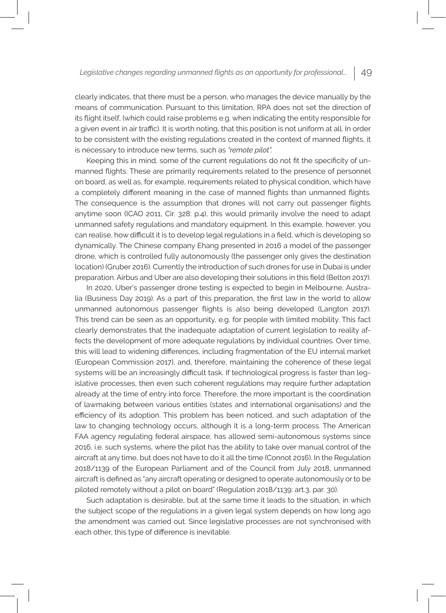clearly indicates, that there must be a person, who manages the device manually by the means of communication. Pursuant to this limitation, RPA does not set the direction of its flight itself, (which could raise problems e.g. when indicating the entity responsible for a given event in air traffic). It is worth noting, that this position is not uniform at all. In order to be consistent with the existing regulations created in the context of manned flights, it is necessary to introduce new terms, such as *"remote pilot".*

Keeping this in mind, some of the current regulations do not fit the specificity of unmanned flights. These are primarily requirements related to the presence of personnel on board, as well as, for example, requirements related to physical condition, which have a completely different meaning in the case of manned flights than unmanned flights. The consequence is the assumption that drones will not carry out passenger flights anytime soon (ICAO 2011, Cir. 328: p.4), this would primarily involve the need to adapt unmanned safety regulations and mandatory equipment. In this example, however, you can realise, how difficult it is to develop legal regulations in a field, which is developing so dynamically. The Chinese company Ehang presented in 2016 a model of the passenger drone, which is controlled fully autonomously (the passenger only gives the destination location) (Gruber 2016). Currently the introduction of such drones for use in Dubai is under preparation. Airbus and Uber are also developing their solutions in this field (Belton 2017).

In 2020, Uber's passenger drone testing is expected to begin in Melbourne, Australia (Business Day 2019). As a part of this preparation, the first law in the world to allow unmanned autonomous passenger flights is also being developed (Langton 2017). This trend can be seen as an opportunity, e.g. for people with limited mobility. This fact clearly demonstrates that the inadequate adaptation of current legislation to reality affects the development of more adequate regulations by individual countries. Over time, this will lead to widening differences, including fragmentation of the EU internal market (European Commission 2017), and, therefore, maintaining the coherence of these legal systems will be an increasingly difficult task. If technological progress is faster than legislative processes, then even such coherent regulations may require further adaptation already at the time of entry into force. Therefore, the more important is the coordination of lawmaking between various entities (states and international organisations) and the efficiency of its adoption. This problem has been noticed, and such adaptation of the law to changing technology occurs, although it is a long-term process. The American FAA agency regulating federal airspace, has allowed semi-autonomous systems since 2016, i.e. such systems, where the pilot has the ability to take over manual control of the aircraft at any time, but does not have to do it all the time (Connot 2016). In the Regulation 2018/1139 of the European Parliament and of the Council from July 2018, unmanned aircraft is defined as "any aircraft operating or designed to operate autonomously or to be piloted remotely without a pilot on board" (Regulation 2018/1139: art.3, par. 30).

Such adaptation is desirable, but at the same time it leads to the situation, in which the subject scope of the regulations in a given legal system depends on how long ago the amendment was carried out. Since legislative processes are not synchronised with each other, this type of difference is inevitable.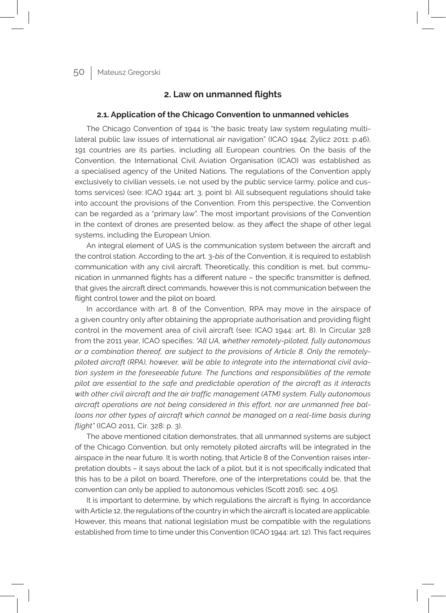### **2. Law on unmanned flights**

#### **2.1. Application of the Chicago Convention to unmanned vehicles**

The Chicago Convention of 1944 is "the basic treaty law system regulating multilateral public law issues of international air navigation" (ICAO 1944; Żylicz 2011: p.46), 191 countries are its parties, including all European countries. On the basis of the Convention, the International Civil Aviation Organisation (ICAO) was established as a specialised agency of the United Nations. The regulations of the Convention apply exclusively to civilian vessels, i.e. not used by the public service (army, police and customs services) (see: ICAO 1944: art. 3, point b). All subsequent regulations should take into account the provisions of the Convention. From this perspective, the Convention can be regarded as a "primary law". The most important provisions of the Convention in the context of drones are presented below, as they affect the shape of other legal systems, including the European Union.

An integral element of UAS is the communication system between the aircraft and the control station. According to the art. 3-*bis* of the Convention, it is required to establish communication with any civil aircraft. Theoretically, this condition is met, but communication in unmanned flights has a different nature – the specific transmitter is defined, that gives the aircraft direct commands, however this is not communication between the flight control tower and the pilot on board.

In accordance with art. 8 of the Convention, RPA may move in the airspace of a given country only after obtaining the appropriate authorisation and providing flight control in the movement area of civil aircraft (see: ICAO 1944: art. 8). In Circular 328 from the 2011 year, ICAO specifies: *"All UA, whether remotely-piloted, fully autonomous or a combination thereof, are subject to the provisions of Article 8. Only the remotelypiloted aircraft (RPA), however, will be able to integrate into the international civil aviation system in the foreseeable future. The functions and responsibilities of the remote pilot are essential to the safe and predictable operation of the aircraft as it interacts with other civil aircraft and the air traffic management (ATM) system. Fully autonomous aircraft operations are not being considered in this effort, nor are unmanned free balloons nor other types of aircraft which cannot be managed on a real-time basis during flight"* (ICAO 2011, Cir. 328: p. 3).

The above mentioned citation demonstrates, that all unmanned systems are subject of the Chicago Convention, but only remotely piloted aircrafts will be integrated in the airspace in the near future. It is worth noting, that Article 8 of the Convention raises interpretation doubts – it says about the lack of a pilot, but it is not specifically indicated that this has to be a pilot on board. Therefore, one of the interpretations could be, that the convention can only be applied to autonomous vehicles (Scott 2016: sec. 4.05).

It is important to determine, by which regulations the aircraft is flying. In accordance with Article 12, the regulations of the country in which the aircraft is located are applicable. However, this means that national legislation must be compatible with the regulations established from time to time under this Convention (ICAO 1944: art. 12). This fact requires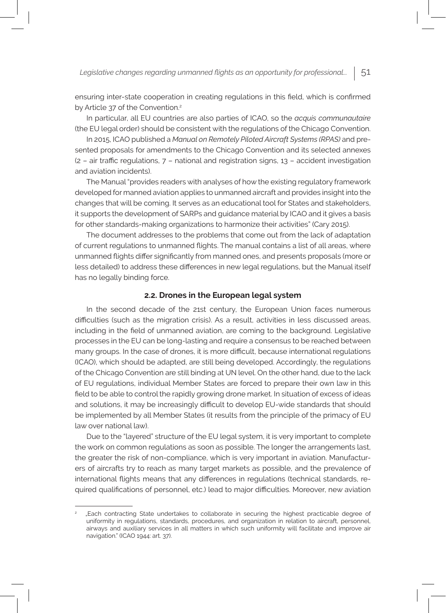ensuring inter-state cooperation in creating regulations in this field, which is confirmed by Article 37 of the Convention.<sup>2</sup>

In particular, all EU countries are also parties of ICAO, so the *acquis communautaire* (the EU legal order) should be consistent with the regulations of the Chicago Convention.

In 2015, ICAO published a *Manual on Remotely Piloted Aircraft Systems (RPAS)* and presented proposals for amendments to the Chicago Convention and its selected annexes  $(2 - air traffic regulations, 7 - national and registration signs, 13 - accident investigation)$ and aviation incidents).

The Manual "provides readers with analyses of how the existing regulatory framework developed for manned aviation applies to unmanned aircraft and provides insight into the changes that will be coming. It serves as an educational tool for States and stakeholders, it supports the development of SARPs and guidance material by ICAO and it gives a basis for other standards-making organizations to harmonize their activities" (Cary 2015).

The document addresses to the problems that come out from the lack of adaptation of current regulations to unmanned flights. The manual contains a list of all areas, where unmanned flights differ significantly from manned ones, and presents proposals (more or less detailed) to address these differences in new legal regulations, but the Manual itself has no legally binding force.

#### **2.2. Drones in the European legal system**

In the second decade of the 21st century, the European Union faces numerous difficulties (such as the migration crisis). As a result, activities in less discussed areas, including in the field of unmanned aviation, are coming to the background. Legislative processes in the EU can be long-lasting and require a consensus to be reached between many groups. In the case of drones, it is more difficult, because international regulations (ICAO), which should be adapted, are still being developed. Accordingly, the regulations of the Chicago Convention are still binding at UN level. On the other hand, due to the lack of EU regulations, individual Member States are forced to prepare their own law in this field to be able to control the rapidly growing drone market. In situation of excess of ideas and solutions, it may be increasingly difficult to develop EU-wide standards that should be implemented by all Member States (it results from the principle of the primacy of EU law over national law).

Due to the "layered" structure of the EU legal system, it is very important to complete the work on common regulations as soon as possible. The longer the arrangements last, the greater the risk of non-compliance, which is very important in aviation. Manufacturers of aircrafts try to reach as many target markets as possible, and the prevalence of international flights means that any differences in regulations (technical standards, required qualifications of personnel, etc.) lead to major difficulties. Moreover, new aviation

<sup>2</sup> "Each contracting State undertakes to collaborate in securing the highest practicable degree of uniformity in regulations, standards, procedures, and organization in relation to aircraft, personnel, airways and auxiliary services in all matters in which such uniformity will facilitate and improve air navigation." (ICAO 1944: art. 37).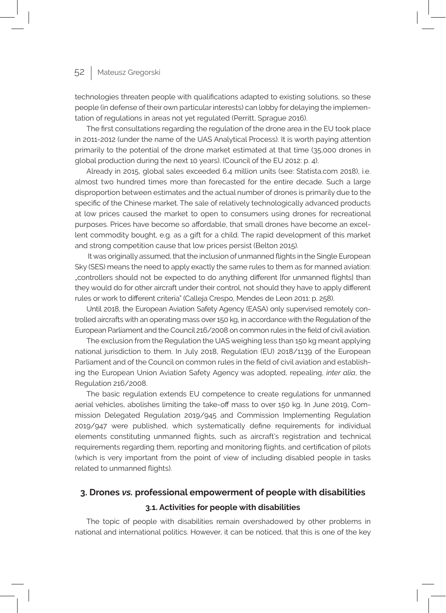technologies threaten people with qualifications adapted to existing solutions, so these people (in defense of their own particular interests) can lobby for delaying the implementation of regulations in areas not yet regulated (Perritt, Sprague 2016).

The first consultations regarding the regulation of the drone area in the EU took place in 2011-2012 (under the name of the UAS Analytical Process). It is worth paying attention primarily to the potential of the drone market estimated at that time (35,000 drones in global production during the next 10 years). (Council of the EU 2012: p. 4).

Already in 2015, global sales exceeded 6.4 million units (see: Statista.com 2018), i.e. almost two hundred times more than forecasted for the entire decade. Such a large disproportion between estimates and the actual number of drones is primarily due to the specific of the Chinese market. The sale of relatively technologically advanced products at low prices caused the market to open to consumers using drones for recreational purposes. Prices have become so affordable, that small drones have become an excellent commodity bought, e.g. as a gift for a child. The rapid development of this market and strong competition cause that low prices persist (Belton 2015).

 It was originally assumed, that the inclusion of unmanned flights in the Single European Sky (SES) means the need to apply exactly the same rules to them as for manned aviation: "controllers should not be expected to do anything different [for unmanned flights] than they would do for other aircraft under their control, not should they have to apply different rules or work to different criteria" (Calleja Crespo, Mendes de Leon 2011: p. 258).

Until 2018, the European Aviation Safety Agency (EASA) only supervised remotely controlled aircrafts with an operating mass over 150 kg, in accordance with the Regulation of the European Parliament and the Council 216/2008 on common rules in the field of civil aviation.

The exclusion from the Regulation the UAS weighing less than 150 kg meant applying national jurisdiction to them. In July 2018, Regulation (EU) 2018/1139 of the European Parliament and of the Council on common rules in the field of civil aviation and establishing the European Union Aviation Safety Agency was adopted, repealing, *inter alia*, the Regulation 216/2008.

The basic regulation extends EU competence to create regulations for unmanned aerial vehicles, abolishes limiting the take-off mass to over 150 kg. In June 2019, Commission Delegated Regulation 2019/945 and Commission Implementing Regulation 2019/947 were published, which systematically define requirements for individual elements constituting unmanned flights, such as aircraft's registration and technical requirements regarding them, reporting and monitoring flights, and certification of pilots (which is very important from the point of view of including disabled people in tasks related to unmanned flights).

## **3. Drones** *vs.* **professional empowerment of people with disabilities 3.1. Activities for people with disabilities**

The topic of people with disabilities remain overshadowed by other problems in national and international politics. However, it can be noticed, that this is one of the key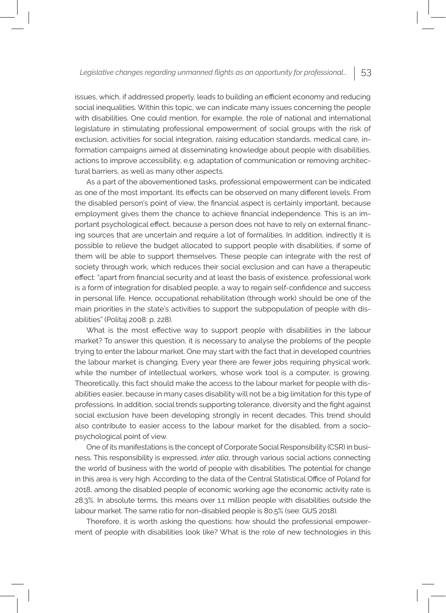issues, which, if addressed properly, leads to building an efficient economy and reducing social inequalities. Within this topic, we can indicate many issues concerning the people with disabilities. One could mention, for example, the role of national and international legislature in stimulating professional empowerment of social groups with the risk of exclusion, activities for social integration, raising education standards, medical care, information campaigns aimed at disseminating knowledge about people with disabilities, actions to improve accessibility, e.g. adaptation of communication or removing architectural barriers, as well as many other aspects.

As a part of the abovementioned tasks, professional empowerment can be indicated as one of the most important. Its effects can be observed on many different levels. From the disabled person's point of view, the financial aspect is certainly important, because employment gives them the chance to achieve financial independence. This is an important psychological effect, because a person does not have to rely on external financing sources that are uncertain and require a lot of formalities. In addition, indirectly it is possible to relieve the budget allocated to support people with disabilities, if some of them will be able to support themselves. These people can integrate with the rest of society through work, which reduces their social exclusion and can have a therapeutic effect: "apart from financial security and at least the basis of existence, professional work is a form of integration for disabled people, a way to regain self-confidence and success in personal life. Hence, occupational rehabilitation (through work) should be one of the main priorities in the state's activities to support the subpopulation of people with disabilities" (Politaj 2008: p. 228).

What is the most effective way to support people with disabilities in the labour market? To answer this question, it is necessary to analyse the problems of the people trying to enter the labour market. One may start with the fact that in developed countries the labour market is changing. Every year there are fewer jobs requiring physical work, while the number of intellectual workers, whose work tool is a computer, is growing. Theoretically, this fact should make the access to the labour market for people with disabilities easier, because in many cases disability will not be a big limitation for this type of professions. In addition, social trends supporting tolerance, diversity and the fight against social exclusion have been developing strongly in recent decades. This trend should also contribute to easier access to the labour market for the disabled, from a sociopsychological point of view.

One of its manifestations is the concept of Corporate Social Responsibility (CSR) in business. This responsibility is expressed, *inter alia*, through various social actions connecting the world of business with the world of people with disabilities. The potential for change in this area is very high. According to the data of the Central Statistical Office of Poland for 2018, among the disabled people of economic working age the economic activity rate is 28.3%. In absolute terms, this means over 1.1 million people with disabilities outside the labour market. The same ratio for non-disabled people is 80.5% (see: GUS 2018).

Therefore, it is worth asking the questions: how should the professional empowerment of people with disabilities look like? What is the role of new technologies in this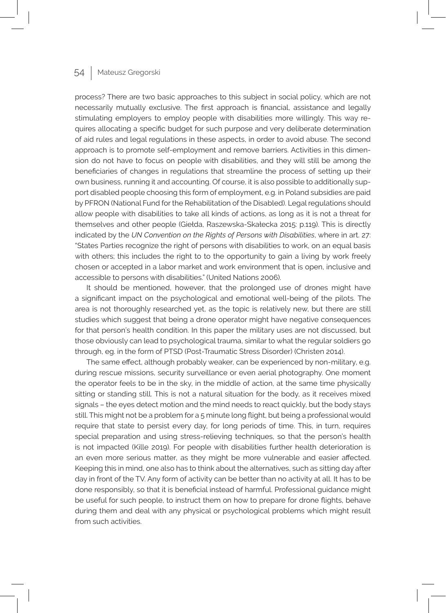process? There are two basic approaches to this subject in social policy, which are not necessarily mutually exclusive. The first approach is financial, assistance and legally stimulating employers to employ people with disabilities more willingly. This way requires allocating a specific budget for such purpose and very deliberate determination of aid rules and legal regulations in these aspects, in order to avoid abuse. The second approach is to promote self-employment and remove barriers. Activities in this dimension do not have to focus on people with disabilities, and they will still be among the beneficiaries of changes in regulations that streamline the process of setting up their own business, running it and accounting. Of course, it is also possible to additionally support disabled people choosing this form of employment, e.g. in Poland subsidies are paid by PFRON (National Fund for the Rehabilitation of the Disabled). Legal regulations should allow people with disabilities to take all kinds of actions, as long as it is not a threat for themselves and other people (Giełda, Raszewska-Skałecka 2015: p.119). This is directly indicated by the *UN Convention on the Rights of Persons with Disabilities*, where in art. 27: "States Parties recognize the right of persons with disabilities to work, on an equal basis with others; this includes the right to to the opportunity to gain a living by work freely chosen or accepted in a labor market and work environment that is open, inclusive and accessible to persons with disabilities." (United Nations 2006).

It should be mentioned, however, that the prolonged use of drones might have a significant impact on the psychological and emotional well-being of the pilots. The area is not thoroughly researched yet, as the topic is relatively new, but there are still studies which suggest that being a drone operator might have negative consequences for that person's health condition. In this paper the military uses are not discussed, but those obviously can lead to psychological trauma, similar to what the regular soldiers go through, eg. in the form of PTSD (Post-Traumatic Stress Disorder) (Christen 2014).

The same effect, although probably weaker, can be experienced by non-military, e.g. during rescue missions, security surveillance or even aerial photography. One moment the operator feels to be in the sky, in the middle of action, at the same time physically sitting or standing still. This is not a natural situation for the body, as it receives mixed signals – the eyes detect motion and the mind needs to react quickly, but the body stays still. This might not be a problem for a 5 minute long flight, but being a professional would require that state to persist every day, for long periods of time. This, in turn, requires special preparation and using stress-relieving techniques, so that the person's health is not impacted (Kille 2019). For people with disabilities further health deterioration is an even more serious matter, as they might be more vulnerable and easier affected. Keeping this in mind, one also has to think about the alternatives, such as sitting day after day in front of the TV. Any form of activity can be better than no activity at all. It has to be done responsibly, so that it is beneficial instead of harmful. Professional guidance might be useful for such people, to instruct them on how to prepare for drone flights, behave during them and deal with any physical or psychological problems which might result from such activities.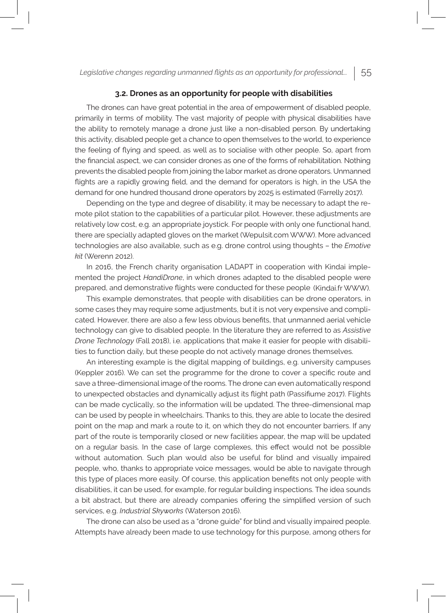#### **3.2. Drones as an opportunity for people with disabilities**

The drones can have great potential in the area of empowerment of disabled people, primarily in terms of mobility. The vast majority of people with physical disabilities have the ability to remotely manage a drone just like a non-disabled person. By undertaking this activity, disabled people get a chance to open themselves to the world, to experience the feeling of flying and speed, as well as to socialise with other people. So, apart from the financial aspect, we can consider drones as one of the forms of rehabilitation. Nothing prevents the disabled people from joining the labor market as drone operators. Unmanned flights are a rapidly growing field, and the demand for operators is high, in the USA the demand for one hundred thousand drone operators by 2025 is estimated (Farrelly 2017).

Depending on the type and degree of disability, it may be necessary to adapt the remote pilot station to the capabilities of a particular pilot. However, these adjustments are relatively low cost, e.g. an appropriate joystick. For people with only one functional hand, there are specially adapted gloves on the market (Wepulsit.com WWW). More advanced technologies are also available, such as e.g. drone control using thoughts – the *Emotive kit* (Werenn 2012).

In 2016, the French charity organisation LADAPT in cooperation with Kindai implemented the project *HandiDrone*, in which drones adapted to the disabled people were prepared, and demonstrative flights were conducted for these people (Kindai.fr WWW).

This example demonstrates, that people with disabilities can be drone operators, in some cases they may require some adjustments, but it is not very expensive and complicated. However, there are also a few less obvious benefits, that unmanned aerial vehicle technology can give to disabled people. In the literature they are referred to as *Assistive Drone Technology* (Fall 2018), i.e. applications that make it easier for people with disabilities to function daily, but these people do not actively manage drones themselves.

An interesting example is the digital mapping of buildings, e.g. university campuses (Keppler 2016). We can set the programme for the drone to cover a specific route and save a three-dimensional image of the rooms. The drone can even automatically respond to unexpected obstacles and dynamically adjust its flight path (Passifiume 2017). Flights can be made cyclically, so the information will be updated. The three-dimensional map can be used by people in wheelchairs. Thanks to this, they are able to locate the desired point on the map and mark a route to it, on which they do not encounter barriers. If any part of the route is temporarily closed or new facilities appear, the map will be updated on a regular basis. In the case of large complexes, this effect would not be possible without automation. Such plan would also be useful for blind and visually impaired people, who, thanks to appropriate voice messages, would be able to navigate through this type of places more easily. Of course, this application benefits not only people with disabilities, it can be used, for example, for regular building inspections. The idea sounds a bit abstract, but there are already companies offering the simplified version of such services, e.g. *Industrial Skyworks* (Waterson 2016).

The drone can also be used as a "drone guide" for blind and visually impaired people. Attempts have already been made to use technology for this purpose, among others for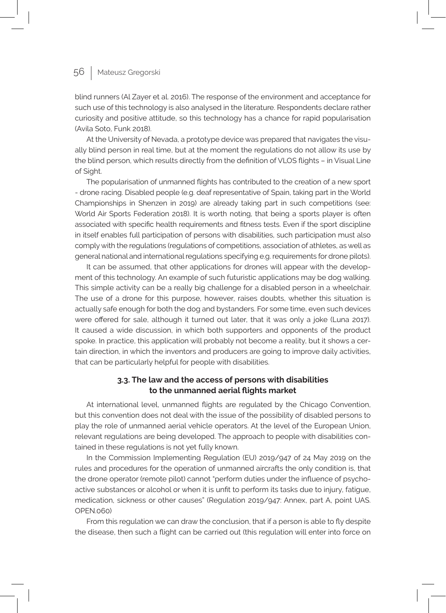blind runners (Al Zayer et al. 2016). The response of the environment and acceptance for such use of this technology is also analysed in the literature. Respondents declare rather curiosity and positive attitude, so this technology has a chance for rapid popularisation (Avila Soto, Funk 2018).

At the University of Nevada, a prototype device was prepared that navigates the visually blind person in real time, but at the moment the regulations do not allow its use by the blind person, which results directly from the definition of VLOS flights – in Visual Line of Sight.

The popularisation of unmanned flights has contributed to the creation of a new sport - drone racing. Disabled people (e.g. deaf representative of Spain, taking part in the World Championships in Shenzen in 2019) are already taking part in such competitions (see: World Air Sports Federation 2018). It is worth noting, that being a sports player is often associated with specific health requirements and fitness tests. Even if the sport discipline in itself enables full participation of persons with disabilities, such participation must also comply with the regulations (regulations of competitions, association of athletes, as well as general national and international regulations specifying e.g. requirements for drone pilots).

It can be assumed, that other applications for drones will appear with the development of this technology. An example of such futuristic applications may be dog walking. This simple activity can be a really big challenge for a disabled person in a wheelchair. The use of a drone for this purpose, however, raises doubts, whether this situation is actually safe enough for both the dog and bystanders. For some time, even such devices were offered for sale, although it turned out later, that it was only a joke (Luna 2017). It caused a wide discussion, in which both supporters and opponents of the product spoke. In practice, this application will probably not become a reality, but it shows a certain direction, in which the inventors and producers are going to improve daily activities, that can be particularly helpful for people with disabilities.

### **3.3. The law and the access of persons with disabilities to the unmanned aerial flights market**

At international level, unmanned flights are regulated by the Chicago Convention, but this convention does not deal with the issue of the possibility of disabled persons to play the role of unmanned aerial vehicle operators. At the level of the European Union, relevant regulations are being developed. The approach to people with disabilities contained in these regulations is not yet fully known.

In the Commission Implementing Regulation (EU) 2019/947 of 24 May 2019 on the rules and procedures for the operation of unmanned aircrafts the only condition is, that the drone operator (remote pilot) cannot "perform duties under the influence of psychoactive substances or alcohol or when it is unfit to perform its tasks due to injury, fatigue, medication, sickness or other causes" (Regulation 2019/947: Annex, part A, point UAS. OPEN.060)

From this regulation we can draw the conclusion, that if a person is able to fly despite the disease, then such a flight can be carried out (this regulation will enter into force on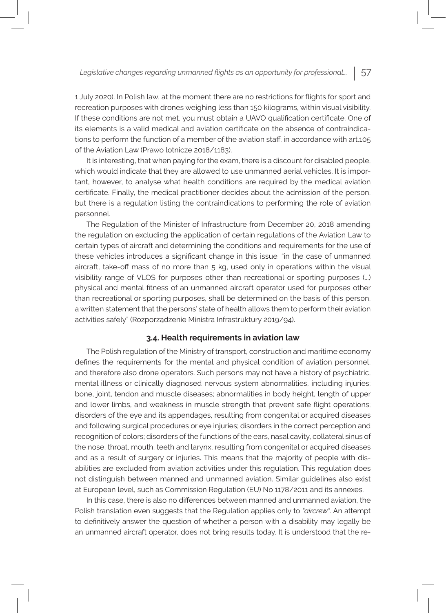1 July 2020). In Polish law, at the moment there are no restrictions for flights for sport and recreation purposes with drones weighing less than 150 kilograms, within visual visibility. If these conditions are not met, you must obtain a UAVO qualification certificate. One of its elements is a valid medical and aviation certificate on the absence of contraindications to perform the function of a member of the aviation staff, in accordance with art.105 of the Aviation Law (Prawo lotnicze 2018/1183).

It is interesting, that when paying for the exam, there is a discount for disabled people, which would indicate that they are allowed to use unmanned aerial vehicles. It is important, however, to analyse what health conditions are required by the medical aviation certificate. Finally, the medical practitioner decides about the admission of the person, but there is a regulation listing the contraindications to performing the role of aviation personnel.

The Regulation of the Minister of Infrastructure from December 20, 2018 amending the regulation on excluding the application of certain regulations of the Aviation Law to certain types of aircraft and determining the conditions and requirements for the use of these vehicles introduces a significant change in this issue: "in the case of unmanned aircraft, take-off mass of no more than 5 kg, used only in operations within the visual visibility range of VLOS for purposes other than recreational or sporting purposes (...) physical and mental fitness of an unmanned aircraft operator used for purposes other than recreational or sporting purposes, shall be determined on the basis of this person, a written statement that the persons' state of health allows them to perform their aviation activities safely" (Rozporządzenie Ministra Infrastruktury 2019/94).

#### **3.4. Health requirements in aviation law**

The Polish regulation of the Ministry of transport, construction and maritime economy defines the requirements for the mental and physical condition of aviation personnel, and therefore also drone operators. Such persons may not have a history of psychiatric, mental illness or clinically diagnosed nervous system abnormalities, including injuries; bone, joint, tendon and muscle diseases; abnormalities in body height, length of upper and lower limbs, and weakness in muscle strength that prevent safe flight operations; disorders of the eye and its appendages, resulting from congenital or acquired diseases and following surgical procedures or eye injuries; disorders in the correct perception and recognition of colors; disorders of the functions of the ears, nasal cavity, collateral sinus of the nose, throat, mouth, teeth and larynx, resulting from congenital or acquired diseases and as a result of surgery or injuries. This means that the majority of people with disabilities are excluded from aviation activities under this regulation. This regulation does not distinguish between manned and unmanned aviation. Similar guidelines also exist at European level, such as Commission Regulation (EU) No 1178/2011 and its annexes.

In this case, there is also no differences between manned and unmanned aviation, the Polish translation even suggests that the Regulation applies only to *"aircrew"*. An attempt to definitively answer the question of whether a person with a disability may legally be an unmanned aircraft operator, does not bring results today. It is understood that the re-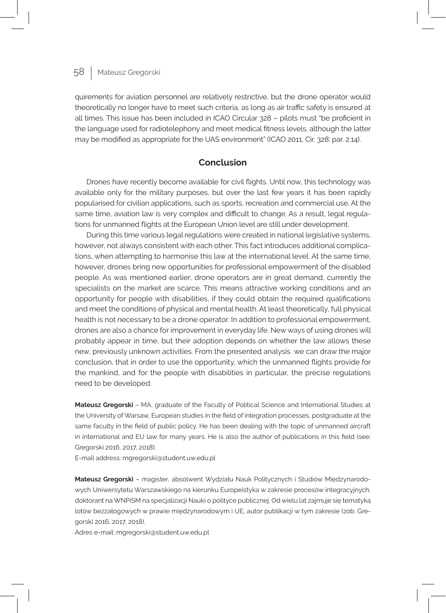quirements for aviation personnel are relatively restrictive, but the drone operator would theoretically no longer have to meet such criteria, as long as air traffic safety is ensured at all times. This issue has been included in ICAO Circular 328 – pilots must "be proficient in the language used for radiotelephony and meet medical fitness levels, although the latter may be modified as appropriate for the UAS environment" (ICAO 2011, Cir. 328: par. 2.14).

### **Conclusion**

Drones have recently become available for civil flights. Until now, this technology was available only for the military purposes, but over the last few years it has been rapidly popularised for civilian applications, such as sports, recreation and commercial use. At the same time, aviation law is very complex and difficult to change. As a result, legal regulations for unmanned flights at the European Union level are still under development.

During this time various legal regulations were created in national legislative systems, however, not always consistent with each other. This fact introduces additional complications, when attempting to harmonise this law at the international level. At the same time, however, drones bring new opportunities for professional empowerment of the disabled people. As was mentioned earlier, drone operators are in great demand, currently the specialists on the market are scarce. This means attractive working conditions and an opportunity for people with disabilities, if they could obtain the required qualifications and meet the conditions of physical and mental health. At least theoretically, full physical health is not necessary to be a drone operator. In addition to professional empowerment, drones are also a chance for improvement in everyday life. New ways of using drones will probably appear in time, but their adoption depends on whether the law allows these new, previously unknown activities. From the presented analysis we can draw the major conclusion, that in order to use the opportunity, which the unmanned flights provide for the mankind, and for the people with disabilities in particular, the precise regulations need to be developed.

**Mateusz Gregorski** – MA, graduate of the Faculty of Political Science and International Studies at the University of Warsaw, European studies in the field of integration processes, postgraduate at the same faculty in the field of public policy. He has been dealing with the topic of unmanned aircraft in international and EU law for many years. He is also the author of publications in this field (see: Gregorski 2016, 2017, 2018).

E-mail address: mgregorski@student.uw.edu.pl

**Mateusz Gregorski** – magister, absolwent Wydziału Nauk Politycznych i Studiów Międzynarodowych Uniwersytetu Warszawskiego na kierunku Europeistyka w zakresie procesów integracyjnych, doktorant na WNPiSM na specjalizacji Nauki o polityce publicznej. Od wielu lat zajmuje się tematyką lotów bezzałogowych w prawie międzynarodowym i UE, autor publikacji w tym zakresie (zob. Gregorski 2016, 2017, 2018).

Adres e-mail: mgregorski@student.uw.edu.pl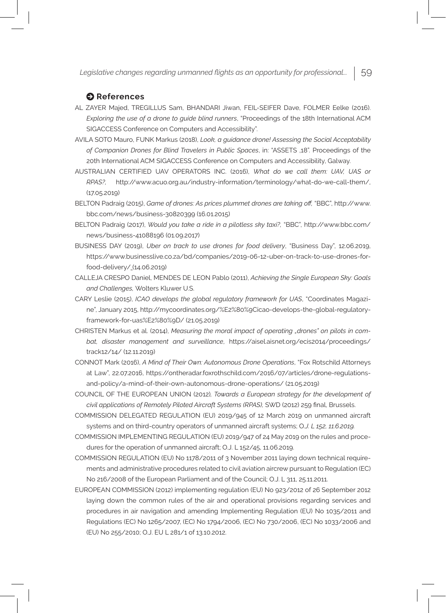### $\Theta$  References

- AL ZAYER Majed, TREGILLUS Sam, BHANDARI Jiwan, FEIL-SEIFER Dave, FOLMER Eelke (2016). *Exploring the use of a drone to guide blind runners*, "Proceedings of the 18th International ACM SIGACCESS Conference on Computers and Accessibility".
- AVILA SOTO Mauro, FUNK Markus (2018), *Look, a guidance drone! Assessing the Social Acceptability*  of Companion Drones for Blind Travelers in Public Spaces, in: "ASSETS ,18". Proceedings of the 20th International ACM SIGACCESS Conference on Computers and Accessibility, Galway.
- AUSTRALIAN CERTIFIED UAV OPERATORS INC. (2016), *What do we call them: UAV, UAS or RPAS?,* http://www.acuo.org.au/industry-information/terminology/what-do-we-call-them/, (17.05.2019)
- BELTON Padraig (2015), *Game of drones: As prices plummet drones are taking off,* "BBC", http://www. bbc.com/news/business-30820399 (16.01.2015)
- BELTON Padraig (2017), *Would you take a ride in a pilotless sky taxi?,* "BBC", http://www.bbc.com/ news/business-41088196 (01.09.2017)
- BUSINESS DAY (2019), *Uber on track to use drones for food delivery*, "Business Day", 12.06.2019, https://www.businesslive.co.za/bd/companies/2019-06-12-uber-on-track-to-use-drones-forfood-delivery/ (14.06.2019)
- CALLEJA CRESPO Daniel, MENDES DE LEON Pablo (2011), *Achieving the Single European Sky: Goals and Challenges,* Wolters Kluwer U.S.
- CARY Leslie (2015), *ICAO develops the global regulatory framework for UAS*, "Coordinates Magazine", January 2015, http://mycoordinates.org/%E2%80%9Cicao-develops-the-global-regulatoryframework-for-uas%E2%80%9D/ (21.05.2019)
- CHRISTEN Markus et al. (2014), *Measuring the moral impact of operating "drones" on pilots in combat, disaster management and surveillance*, https://aisel.aisnet.org/ecis2014/proceedings/ track12/14/ (12.11.2019)
- CONNOT Mark (2016), *A Mind of Their Own: Autonomous Drone Operations*, "Fox Rotschild Attorneys at Law", 22.07.2016, https://ontheradar.foxrothschild.com/2016/07/articles/drone-regulationsand-policy/a-mind-of-their-own-autonomous-drone-operations/ (21.05.2019)
- COUNCIL OF THE EUROPEAN UNION (2012)*, Towards a European strategy for the development of civil applications of Remotely Piloted Aircraft Systems (RPAS),* SWD (2012) 259 final, Brussels.
- Commission Delegated Regulation (EU) 2019/945 of 12 March 2019 on unmanned aircraft systems and on third-country operators of unmanned aircraft systems; O*.J. L 152, 11.6.2019.*
- COMMISSION IMPLEMENTING REGULATION (EU) 2019/947 of 24 May 2019 on the rules and procedures for the operation of unmanned aircraft; O.J. L 152/45, 11.06.2019.
- COMMISSION REGULATION (EU) No 1178/2011 of 3 November 2011 laying down technical requirements and administrative procedures related to civil aviation aircrew pursuant to Regulation (EC) No 216/2008 of the European Parliament and of the Council; O.J. L 311, 25.11.2011.
- EUROPEAN COMMISSION (2012) implementing regulation (EU) No 923/2012 of 26 September 2012 laying down the common rules of the air and operational provisions regarding services and procedures in air navigation and amending Implementing Regulation (EU) No 1035/2011 and Regulations (EC) No 1265/2007, (EC) No 1794/2006, (EC) No 730/2006, (EC) No 1033/2006 and (EU) No 255/2010; O.J. EU L 281/1 of 13.10.2012.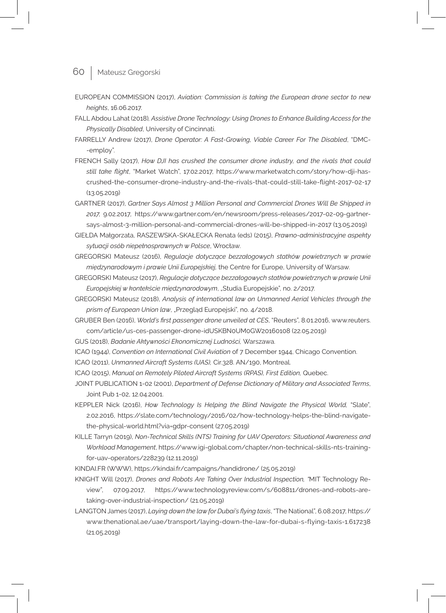- 60 Mateusz Gregorski
- EUROPEAN COMMISSION (2017), *Aviation: Commission is taking the European drone sector to new heights*, 16.06.2017.
- FALL Abdou Lahat (2018)*, Assistive Drone Technology: Using Drones to Enhance Building Access for the Physically Disabled*, University of Cincinnati.
- FARRELLY Andrew (2017), *Drone Operator: A Fast-Growing, Viable Career For The Disabled*, "DMC- -employ".
- FRENCH Sally (2017), *How DJI has crushed the consumer drone industry, and the rivals that could still take flight*, "Market Watch", 17.02.2017, https://www.marketwatch.com/story/how-dji-hascrushed-the-consumer-drone-industry-and-the-rivals-that-could-still-take-flight-2017-02-17 (13.05.2019)
- GARTNER (2017), *Gartner Says Almost 3 Million Personal and Commercial Drones Will Be Shipped in 2017,* 9.02.2017*,* https://www.gartner.com/en/newsroom/press-releases/2017-02-09-gartnersays-almost-3-million-personal-and-commercial-drones-will-be-shipped-in-2017 (13.05.2019)
- GIEŁDA Małgorzata, RASZEWSKA-SKAŁECKA Renata (eds) (2015), *Prawno-administracyjne aspekty sytuacji osób niepełnosprawnych w Polsce*, Wrocław.
- GREGORSKI Mateusz (2016), *Regulacje dotyczące bezzałogowych statków powietrznych w prawie międzynarodowym i prawie Unii Europejskiej,* the Centre for Europe, University of Warsaw.
- GREGORSKI Mateusz (2017), *Regulacje dotyczące bezzałogowych statków powietrznych w prawie Unii Europejskiej w kontekście międzynarodowym*, "Studia Europejskie", no. 2/2017.
- GREGORSKI Mateusz (2018), *Analysis of international law on Unmanned Aerial Vehicles through the*  prism of European Union law, "Przegląd Europejski", no. 4/2018.
- GRUBER Ben (2016), *World's first passenger drone unveiled at CES*, "Reuters", 8.01.2016, www.reuters. com/article/us-ces-passenger-drone-idUSKBN0UM0GW20160108 (22.05.2019)
- GUS (2018), *Badanie Aktywności Ekonomicznej Ludności,* Warszawa.
- ICAO (1944), *Convention on International Civil Aviation* of 7 December 1944, Chicago Convention.
- ICAO (2011), *Unmanned Aircraft Systems (UAS),* Cir.328. AN/190, Montreal.
- ICAO (2015), *Manual on Remotely Piloted Aircraft Systems (RPAS), First Edition, Quebec.*
- JOINT PUBLICATION 1-02 (2001), *Department of Defense Dictionary of Military and Associated Terms*, Joint Pub 1-02, 12.04.2001.
- KEPPLER Nick (2016), *How Technology Is Helping the Blind Navigate the Physical World,* "Slate", 2.02.2016, https://slate.com/technology/2016/02/how-technology-helps-the-blind-navigatethe-physical-world.html?via=gdpr-consent (27.05.2019)
- KILLE Tarryn (2019), *Non-Technical Skills (NTS) Training for UAV Operators: Situational Awareness and Workload Management*, https://www.igi-global.com/chapter/non-technical-skills-nts-trainingfor-uav-operators/228239 (12.11.2019)
- KINDAI.FR (WWW), https://kindai.fr/campaigns/handidrone/ (25.05.2019)
- KNIGHT Will (2017), *Drones and Robots Are Taking Over Industrial Inspection, "*MIT Technology Review", 07.09.2017, https://www.technologyreview.com/s/608811/drones-and-robots-aretaking-over-industrial-inspection/ (21.05.2019)
- LANGTON James (2017), *Laying down the law for Dubai's flying taxis*, "The National", 6.08.2017, https:// www.thenational.ae/uae/transport/laying-down-the-law-for-dubai-s-flying-taxis-1.617238 (21.05.2019)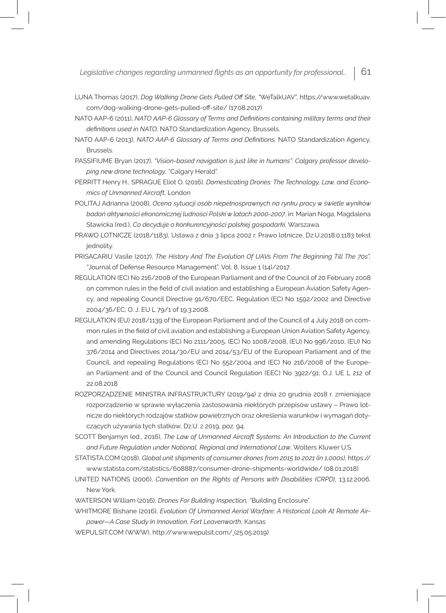- LUNA Thomas (2017), *Dog Walking Drone Gets Pulled Off Site, "*WeTalkUAV", https://www.wetalkuav. com/dog-walking-drone-gets-pulled-off-site/ (17.08.2017)
- NATO AAP-6 (2011), *NATO AAP-6 Glossary of Terms and Definitions containing military terms and their definitions used in NATO,* NATO Standardization Agency, Brussels.
- NATO AAP-6 (2013), *NATO AAP-6 Glossary of Terms and Definitions,* NATO Standardization Agency, Brussels.
- PASSIFIUME Bryan (2017), *"Vision-based navigation is just like in humans": Calgary professor developing new drone technology*, "Calgary Herald".
- PERRITT Henry H., SPRAGUE Eliot O. (2016), *Domesticating Drones: The Technology, Law, and Economics of Unmanned Aircraft*, London
- POLITAJ Adrianna (2008), *Ocena sytuacji osób niepełnosprawnych na rynku pracy w świetle wyników badań aktywności ekonomicznej ludności Polski w latach 2000-2007*, in: Marian Noga, Magdalena Stawicka (red.), *Co decyduje o konkurencyjności polskiej gospodarki*, Warszawa.
- PRAWO LOTNICZE (2018/1183), Ustawa z dnia 3 lipca 2002 r. Prawo lotnicze, Dz.U.2018.0.1183 tekst jednolity.
- PRISACARIU Vasile (2017), *The History And The Evolution Of UAVs From The Beginning Till The 70s", "*Journal of Defense Resource Management", Vol. 8, Issue 1 (14)/2017.
- REGULATION (EC) No 216/2008 of the European Parliament and of the Council of 20 February 2008 on common rules in the field of civil aviation and establishing a European Aviation Safety Agency, and repealing Council Directive 91/670/EEC, Regulation (EC) No 1592/2002 and Directive 2004/36/EC; O. J. EU L 79/1 of 19.3.2008.
- REGULATION (EU) 2018/1139 of the European Parliament and of the Council of 4 July 2018 on common rules in the field of civil aviation and establishing a European Union Aviation Safety Agency, and amending Regulations (EC) No 2111/2005, (EC) No 1008/2008, (EU) No 996/2010, (EU) No 376/2014 and Directives 2014/30/EU and 2014/53/EU of the European Parliament and of the Council, and repealing Regulations (EC) No 552/2004 and (EC) No 216/2008 of the European Parliament and of the Council and Council Regulation (EEC) No 3922/91; O.J. UE L 212 of 22.08.2018
- ROZPORZĄDZENIE MINISTRA INFRASTRUKTURY (2019/94) z dnia 20 grudnia 2018 r. zmieniające rozporządzenie w sprawie wyłączenia zastosowania niektórych przepisów ustawy – Prawo lotnicze do niektórych rodzajów statków powietrznych oraz określenia warunków i wymagań dotyczących używania tych statków, Dz.U. z 2019, poz. 94.
- SCOTT Benjamyn (ed., 2016), *The Law of Unmanned Aircraft Systems: An Introduction to the Current and Future Regulation under National, Regional and International Law*, Wolters Kluwer U.S.
- STATISTA.COM (2018), *Global unit shipments of consumer drones from 2015 to 2021 (in 1,000s),* https:// www.statista.com/statistics/608887/consumer-drone-shipments-worldwide/ (08.01.2018)
- UNITED NATIONS (2006), *Convention on the Rights of Persons with Disabilities (CRPD)*, 13.12.2006, New York.
- WATERSON William (2016), *Drones For Building Inspection,* "Building Enclosure".

WHITMORE Bishane (2016), *Evolution Of Unmanned Aerial Warfare: A Historical Look At Remote Air-*

*power—A Case Study In Innovation, Fort Leavenworth*, Kansas

WEPULSIT.COM (WWW), http://www.wepulsit.com/ (25.05.2019)